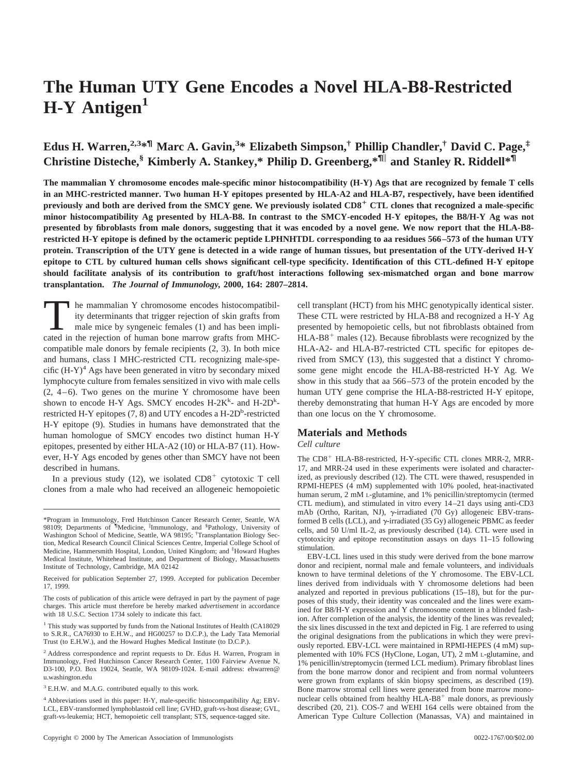# **The Human UTY Gene Encodes a Novel HLA-B8-Restricted** H-Y Antigen<sup>1</sup>

# **Edus H. Warren,2,3\*¶ Marc A. Gavin,<sup>3</sup> \* Elizabeth Simpson,† Phillip Chandler,† David C. Page,‡ Christine Disteche,§ Kimberly A. Stankey,\* Philip D. Greenberg,\*¶**<sup>i</sup> **and Stanley R. Riddell\*¶**

**The mammalian Y chromosome encodes male-specific minor histocompatibility (H-Y) Ags that are recognized by female T cells in an MHC-restricted manner. Two human H-Y epitopes presented by HLA-A2 and HLA-B7, respectively, have been identified previously and both are derived from the SMCY gene. We previously isolated CD8**<sup>1</sup> **CTL clones that recognized a male-specific minor histocompatibility Ag presented by HLA-B8. In contrast to the SMCY-encoded H-Y epitopes, the B8/H-Y Ag was not presented by fibroblasts from male donors, suggesting that it was encoded by a novel gene. We now report that the HLA-B8 restricted H-Y epitope is defined by the octameric peptide LPHNHTDL corresponding to aa residues 566–573 of the human UTY protein. Transcription of the UTY gene is detected in a wide range of human tissues, but presentation of the UTY-derived H-Y epitope to CTL by cultured human cells shows significant cell-type specificity. Identification of this CTL-defined H-Y epitope should facilitate analysis of its contribution to graft/host interactions following sex-mismatched organ and bone marrow transplantation.** *The Journal of Immunology,* **2000, 164: 2807–2814.**

In the mammalian Y chromosome encodes histocompatibility determinants that trigger rejection of skin grafts from male mice by syngeneic females (1) and has been implicated in the rejection of human bone marrow grafts from MHCcompatible male donors by female recipients (2, 3). In both mice and humans, class I MHC-restricted CTL recognizing male-specific  $(H-Y)^4$  Ags have been generated in vitro by secondary mixed lymphocyte culture from females sensitized in vivo with male cells  $(2, 4-6)$ . Two genes on the murine Y chromosome have been shown to encode H-Y Ags. SMCY encodes H-2K<sup>k</sup>- and H-2D<sup>k</sup>restricted H-Y epitopes  $(7, 8)$  and UTY encodes a H-2D<sup>b</sup>-restricted H-Y epitope (9). Studies in humans have demonstrated that the human homologue of SMCY encodes two distinct human H-Y epitopes, presented by either HLA-A2 (10) or HLA-B7 (11). However, H-Y Ags encoded by genes other than SMCY have not been described in humans.

In a previous study (12), we isolated  $CD8<sup>+</sup>$  cytotoxic T cell clones from a male who had received an allogeneic hemopoietic

cell transplant (HCT) from his MHC genotypically identical sister. These CTL were restricted by HLA-B8 and recognized a H-Y Ag presented by hemopoietic cells, but not fibroblasts obtained from  $HLA-B8<sup>+</sup>$  males (12). Because fibroblasts were recognized by the HLA-A2- and HLA-B7-restricted CTL specific for epitopes derived from SMCY (13), this suggested that a distinct Y chromosome gene might encode the HLA-B8-restricted H-Y Ag. We show in this study that aa 566–573 of the protein encoded by the human UTY gene comprise the HLA-B8-restricted H-Y epitope, thereby demonstrating that human H-Y Ags are encoded by more than one locus on the Y chromosome.

# **Materials and Methods**

# *Cell culture*

The CD8<sup>+</sup> HLA-B8-restricted, H-Y-specific CTL clones MRR-2, MRR-17, and MRR-24 used in these experiments were isolated and characterized, as previously described (12). The CTL were thawed, resuspended in RPMI-HEPES (4 mM) supplemented with 10% pooled, heat-inactivated human serum, 2 mM L-glutamine, and 1% penicillin/streptomycin (termed CTL medium), and stimulated in vitro every 14–21 days using anti-CD3 mAb (Ortho, Raritan, NJ),  $\gamma$ -irradiated (70 Gy) allogeneic EBV-transformed B cells (LCL), and  $\gamma$ -irradiated (35 Gy) allogeneic PBMC as feeder cells, and 50 U/ml IL-2, as previously described (14). CTL were used in cytotoxicity and epitope reconstitution assays on days 11–15 following stimulation.

EBV-LCL lines used in this study were derived from the bone marrow donor and recipient, normal male and female volunteers, and individuals known to have terminal deletions of the Y chromosome. The EBV-LCL lines derived from individuals with Y chromosome deletions had been analyzed and reported in previous publications (15–18), but for the purposes of this study, their identity was concealed and the lines were examined for B8/H-Y expression and Y chromosome content in a blinded fashion. After completion of the analysis, the identity of the lines was revealed; the six lines discussed in the text and depicted in Fig. 1 are referred to using the original designations from the publications in which they were previously reported. EBV-LCL were maintained in RPMI-HEPES (4 mM) supplemented with 10% FCS (HyClone, Logan, UT), 2 mM L-glutamine, and 1% penicillin/streptomycin (termed LCL medium). Primary fibroblast lines from the bone marrow donor and recipient and from normal volunteers were grown from explants of skin biopsy specimens, as described (19). Bone marrow stromal cell lines were generated from bone marrow mononuclear cells obtained from healthy  $HLA-B8$ <sup>+</sup> male donors, as previously described (20, 21). COS-7 and WEHI 164 cells were obtained from the American Type Culture Collection (Manassas, VA) and maintained in

<sup>\*</sup>Program in Immunology, Fred Hutchinson Cancer Research Center, Seattle, WA 98109; Departments of ¶ Medicine, <sup>i</sup> Immunology, and § Pathology, University of Washington School of Medicine, Seattle, WA 98195; <sup>†</sup>Transplantation Biology Section, Medical Research Council Clinical Sciences Centre, Imperial College School of Medicine, Hammersmith Hospital, London, United Kingdom; and ‡ Howard Hughes Medical Institute, Whitehead Institute, and Department of Biology, Massachusetts Institute of Technology, Cambridge, MA 02142

Received for publication September 27, 1999. Accepted for publication December 17, 1999.

The costs of publication of this article were defrayed in part by the payment of page charges. This article must therefore be hereby marked *advertisement* in accordance with 18 U.S.C. Section 1734 solely to indicate this fact.

<sup>&</sup>lt;sup>1</sup> This study was supported by funds from the National Institutes of Health (CA18029 to S.R.R., CA76930 to E.H.W., and HG00257 to D.C.P.), the Lady Tata Memorial Trust (to E.H.W.), and the Howard Hughes Medical Institute (to D.C.P.).

<sup>2</sup> Address correspondence and reprint requests to Dr. Edus H. Warren, Program in Immunology, Fred Hutchinson Cancer Research Center, 1100 Fairview Avenue N, D3-100, P.O. Box 19024, Seattle, WA 98109-1024. E-mail address: ehwarren@ u.washington.edu

<sup>3</sup> E.H.W. and M.A.G. contributed equally to this work.

<sup>4</sup> Abbreviations used in this paper: H-Y, male-specific histocompatibility Ag; EBV-LCL, EBV-transformed lymphoblastoid cell line; GVHD, graft-vs-host disease; GVL, graft-vs-leukemia; HCT, hemopoietic cell transplant; STS, sequence-tagged site.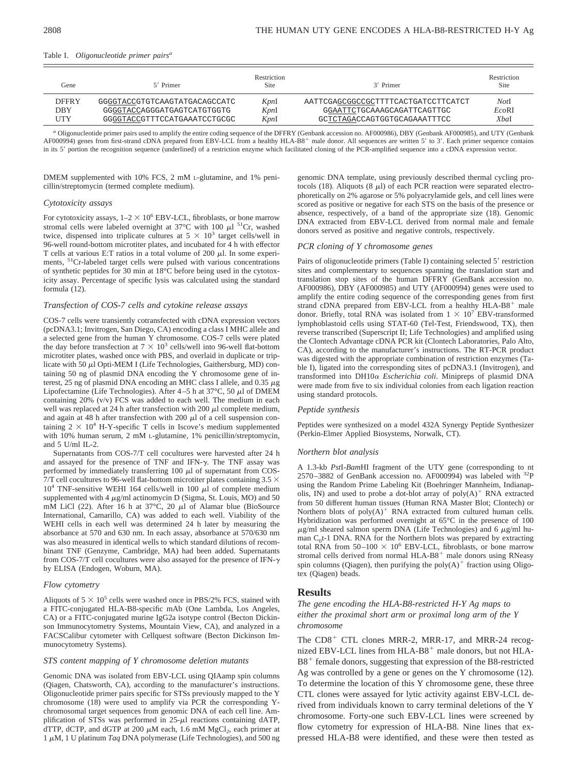#### Table I. *Oligonucleotide primer pairsa*

| Fene.        | 5' Primer                     | Restriction<br>Site | 3' Primer                           | Restriction<br>Site |
|--------------|-------------------------------|---------------------|-------------------------------------|---------------------|
| <b>DFFRY</b> | GGGGTACCGTGTCAAGTATGACAGCCATC | KpnI                | AATTCGAGCGGCCGCTTTTCACTGATCCTTCATCT | <i>Not</i> I        |
| DBY          | GGGGTACCAGGGATGAGTCATGTGGTG   | KpnI                | GGAATTCTGCAAAGCAGATTCAGTTGC         | EcoRI               |
| <b>UTY</b>   | GGGGTACCGTTTCCATGAAATCCTGCGC  | KpnI                | GCTCTAGACCAGTGGTGCAGAAATTTCC        | <b>X</b> bal        |

*<sup>a</sup>* Oligonucleotide primer pairs used to amplify the entire coding sequence of the DFFRY (Genbank accession no. AF000986), DBY (Genbank AF000985), and UTY (Genbank AF000994) genes from first-strand cDNA prepared from EBV-LCL from a healthy HLA-B8<sup>+</sup> male donor. All sequences are written 5' to 3'. Each primer sequence contains in its 5' portion the recognition sequence (underlined) of a restriction enzyme which facilitated cloning of the PCR-amplified sequence into a cDNA expression vector.

DMEM supplemented with 10% FCS, 2 mM L-glutamine, and 1% penicillin/streptomycin (termed complete medium).

#### *Cytotoxicity assays*

For cytotoxicity assays,  $1-2 \times 10^6$  EBV-LCL, fibroblasts, or bone marrow stromal cells were labeled overnight at  $37^{\circ}$ C with 100  $\mu$ l <sup>51</sup>Cr, washed twice, dispensed into triplicate cultures at  $5 \times 10^3$  target cells/well in 96-well round-bottom microtiter plates, and incubated for 4 h with effector T cells at various E:T ratios in a total volume of 200  $\mu$ l. In some experiments, 51Cr-labeled target cells were pulsed with various concentrations of synthetic peptides for 30 min at 18°C before being used in the cytotoxicity assay. Percentage of specific lysis was calculated using the standard formula (12).

#### *Transfection of COS-7 cells and cytokine release assays*

COS-7 cells were transiently cotransfected with cDNA expression vectors (pcDNA3.1; Invitrogen, San Diego, CA) encoding a class I MHC allele and a selected gene from the human Y chromosome. COS-7 cells were plated the day before transfection at  $7 \times 10^3$  cells/well into 96-well flat-bottom microtiter plates, washed once with PBS, and overlaid in duplicate or triplicate with 50  $\mu$ l Opti-MEM I (Life Technologies, Gaithersburg, MD) containing 50 ng of plasmid DNA encoding the Y chromosome gene of interest, 25 ng of plasmid DNA encoding an MHC class I allele, and 0.35  $\mu$ g Lipofectamine (Life Technologies). After  $4-5$  h at  $37^{\circ}$ C,  $50 \mu$ l of DMEM containing 20% (v/v) FCS was added to each well. The medium in each well was replaced at 24 h after transfection with 200  $\mu$ l complete medium, and again at 48 h after transfection with 200  $\mu$ l of a cell suspension containing  $2 \times 10^4$  H-Y-specific T cells in Iscove's medium supplemented with 10% human serum, 2 mM L-glutamine, 1% penicillin/streptomycin, and  $5 \text{ U/ml}$  IL-2.

Supernatants from COS-7/T cell cocultures were harvested after 24 h and assayed for the presence of TNF and IFN- $\gamma$ . The TNF assay was performed by immediately transferring  $100 \mu l$  of supernatant from COS-7/T cell cocultures to 96-well flat-bottom microtiter plates containing  $3.5 \times$  $10^4$  TNF-sensitive WEHI 164 cells/well in 100  $\mu$ l of complete medium supplemented with 4  $\mu$ g/ml actinomycin D (Sigma, St. Louis, MO) and 50 mM LiCl (22). After 16 h at  $37^{\circ}$ C, 20  $\mu$ l of Alamar blue (BioSource International, Camarillo, CA) was added to each well. Viability of the WEHI cells in each well was determined 24 h later by measuring the absorbance at 570 and 630 nm. In each assay, absorbance at 570/630 nm was also measured in identical wells to which standard dilutions of recombinant TNF (Genzyme, Cambridge, MA) had been added. Supernatants from COS-7/T cell cocultures were also assayed for the presence of IFN- $\gamma$ by ELISA (Endogen, Woburn, MA).

#### *Flow cytometry*

Aliquots of  $5 \times 10^5$  cells were washed once in PBS/2% FCS, stained with a FITC-conjugated HLA-B8-specific mAb (One Lambda, Los Angeles, CA) or a FITC-conjugated murine IgG2a isotype control (Becton Dickinson Immunocytometry Systems, Mountain View, CA), and analyzed in a FACSCalibur cytometer with Cellquest software (Becton Dickinson Immunocytometry Systems).

#### *STS content mapping of Y chromosome deletion mutants*

Genomic DNA was isolated from EBV-LCL using QIAamp spin columns (Qiagen, Chatsworth, CA), according to the manufacturer's instructions. Oligonucleotide primer pairs specific for STSs previously mapped to the Y chromosome (18) were used to amplify via PCR the corresponding Ychromosomal target sequences from genomic DNA of each cell line. Amplification of STSs was performed in  $25-\mu l$  reactions containing dATP, dTTP, dCTP, and dGTP at 200  $\mu$ M each, 1.6 mM MgCl<sub>2</sub>, each primer at  $1 \mu$ M, 1 U platinum *Taq* DNA polymerase (Life Technologies), and 500 ng

genomic DNA template, using previously described thermal cycling protocols (18). Aliquots (8  $\mu$ l) of each PCR reaction were separated electrophoretically on 2% agarose or 5% polyacrylamide gels, and cell lines were scored as positive or negative for each STS on the basis of the presence or absence, respectively, of a band of the appropriate size (18). Genomic DNA extracted from EBV-LCL derived from normal male and female donors served as positive and negative controls, respectively.

#### *PCR cloning of Y chromosome genes*

Pairs of oligonucleotide primers (Table I) containing selected 5' restriction sites and complementary to sequences spanning the translation start and translation stop sites of the human DFFRY (GenBank accession no. AF000986), DBY (AF000985) and UTY (AF000994) genes were used to amplify the entire coding sequence of the corresponding genes from first strand cDNA prepared from EBV-LCL from a healthy HLA-B8<sup>+</sup> male donor. Briefly, total RNA was isolated from  $1 \times 10^7$  EBV-transformed lymphoblastoid cells using STAT-60 (Tel-Test, Friendswood, TX), then reverse transcribed (Superscript II; Life Technologies) and amplified using the Clontech Advantage cDNA PCR kit (Clontech Laboratories, Palo Alto, CA), according to the manufacturer's instructions. The RT-PCR product was digested with the appropriate combination of restriction enzymes (Table I), ligated into the corresponding sites of pcDNA3.1 (Invitrogen), and transformed into DH10<sup>a</sup> *Escherichia coli*. Minipreps of plasmid DNA were made from five to six individual colonies from each ligation reaction using standard protocols.

#### *Peptide synthesis*

Peptides were synthesized on a model 432A Synergy Peptide Synthesizer (Perkin-Elmer Applied Biosystems, Norwalk, CT).

#### *Northern blot analysis*

A 1.3-kb *Pst*I-*Bam*HI fragment of the UTY gene (corresponding to nt  $2570-3882$  of GenBank accession no. AF000994) was labeled with  $32P$ using the Random Prime Labeling Kit (Boehringer Mannheim, Indianapolis, IN) and used to probe a dot-blot array of  $poly(A)^+$  RNA extracted from 50 different human tissues (Human RNA Master Blot; Clontech) or Northern blots of  $poly(A)^+$  RNA extracted from cultured human cells. Hybridization was performed overnight at 65°C in the presence of 100  $\mu$ g/ml sheared salmon sperm DNA (Life Technologies) and 6  $\mu$ g/ml human  $C_0t$ -1 DNA. RNA for the Northern blots was prepared by extracting total RNA from  $50-100 \times 10^6$  EBV-LCL, fibroblasts, or bone marrow stromal cells derived from normal HLA-B8<sup>+</sup> male donors using RNeasy spin columns (Qiagen), then purifying the  $poly(A)^+$  fraction using Oligotex (Qiagen) beads.

#### **Results**

# *The gene encoding the HLA-B8-restricted H-Y Ag maps to either the proximal short arm or proximal long arm of the Y chromosome*

The  $CD8<sup>+</sup>$  CTL clones MRR-2, MRR-17, and MRR-24 recognized EBV-LCL lines from  $HLA-B8$ <sup>+</sup> male donors, but not  $HLA$ - $B8<sup>+</sup>$  female donors, suggesting that expression of the B8-restricted Ag was controlled by a gene or genes on the Y chromosome (12). To determine the location of this Y chromosome gene, these three CTL clones were assayed for lytic activity against EBV-LCL derived from individuals known to carry terminal deletions of the Y chromosome. Forty-one such EBV-LCL lines were screened by flow cytometry for expression of HLA-B8. Nine lines that expressed HLA-B8 were identified, and these were then tested as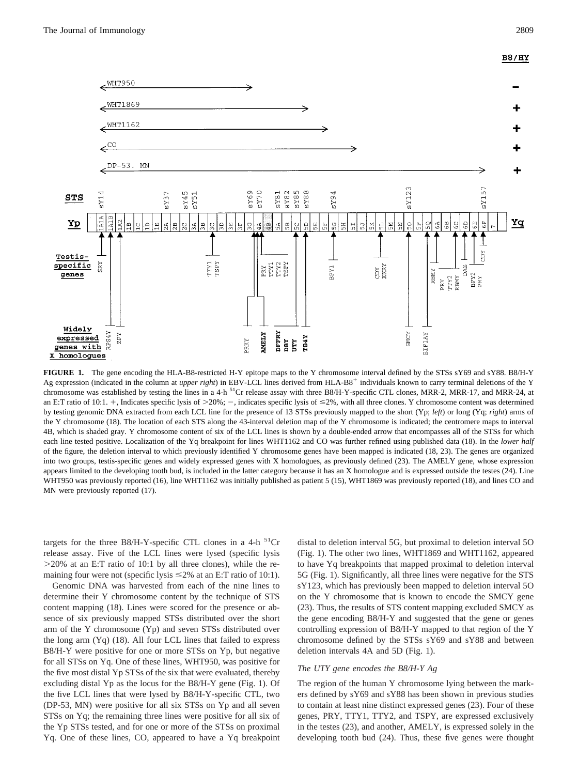# **B8/HY**



**FIGURE 1.** The gene encoding the HLA-B8-restricted H-Y epitope maps to the Y chromosome interval defined by the STSs sY69 and sY88. B8/H-Y Ag expression (indicated in the column at *upper right*) in EBV-LCL lines derived from HLA-B8<sup>+</sup> individuals known to carry terminal deletions of the Y chromosome was established by testing the lines in a 4-h  $^{51}$ Cr release assay with three B8/H-Y-specific CTL clones, MRR-2, MRR-17, and MRR-24, at an E:T ratio of 10:1. +, Indicates specific lysis of  $>20\%$ ; -, indicates specific lysis of  $\leq 2\%$ , with all three clones. Y chromosome content was determined by testing genomic DNA extracted from each LCL line for the presence of 13 STSs previously mapped to the short (Yp; *left*) or long (Yq; *right*) arms of the Y chromosome (18). The location of each STS along the 43-interval deletion map of the Y chromosome is indicated; the centromere maps to interval 4B, which is shaded gray. Y chromosome content of six of the LCL lines is shown by a double-ended arrow that encompasses all of the STSs for which each line tested positive. Localization of the Yq breakpoint for lines WHT1162 and CO was further refined using published data (18). In the *lower half* of the figure, the deletion interval to which previously identified Y chromosome genes have been mapped is indicated (18, 23). The genes are organized into two groups, testis-specific genes and widely expressed genes with X homologues, as previously defined (23). The AMELY gene, whose expression appears limited to the developing tooth bud, is included in the latter category because it has an X homologue and is expressed outside the testes (24). Line WHT950 was previously reported (16), line WHT1162 was initially published as patient 5 (15), WHT1869 was previously reported (18), and lines CO and MN were previously reported (17).

targets for the three B8/H-Y-specific CTL clones in a 4-h  ${}^{51}Cr$ release assay. Five of the LCL lines were lysed (specific lysis  $>$ 20% at an E:T ratio of 10:1 by all three clones), while the remaining four were not (specific lysis  $\leq 2\%$  at an E:T ratio of 10:1).

Genomic DNA was harvested from each of the nine lines to determine their Y chromosome content by the technique of STS content mapping (18). Lines were scored for the presence or absence of six previously mapped STSs distributed over the short arm of the Y chromosome (Yp) and seven STSs distributed over the long arm (Yq) (18). All four LCL lines that failed to express B8/H-Y were positive for one or more STSs on Yp, but negative for all STSs on Yq. One of these lines, WHT950, was positive for the five most distal Yp STSs of the six that were evaluated, thereby excluding distal Yp as the locus for the B8/H-Y gene (Fig. 1). Of the five LCL lines that were lysed by B8/H-Y-specific CTL, two (DP-53, MN) were positive for all six STSs on Yp and all seven STSs on Yq; the remaining three lines were positive for all six of the Yp STSs tested, and for one or more of the STSs on proximal Yq. One of these lines, CO, appeared to have a Yq breakpoint distal to deletion interval 5G, but proximal to deletion interval 5O (Fig. 1). The other two lines, WHT1869 and WHT1162, appeared to have Yq breakpoints that mapped proximal to deletion interval 5G (Fig. 1). Significantly, all three lines were negative for the STS sY123, which has previously been mapped to deletion interval 5O on the Y chromosome that is known to encode the SMCY gene (23). Thus, the results of STS content mapping excluded SMCY as the gene encoding B8/H-Y and suggested that the gene or genes controlling expression of B8/H-Y mapped to that region of the Y chromosome defined by the STSs sY69 and sY88 and between deletion intervals 4A and 5D (Fig. 1).

#### *The UTY gene encodes the B8/H-Y Ag*

The region of the human Y chromosome lying between the markers defined by sY69 and sY88 has been shown in previous studies to contain at least nine distinct expressed genes (23). Four of these genes, PRY, TTY1, TTY2, and TSPY, are expressed exclusively in the testes (23), and another, AMELY, is expressed solely in the developing tooth bud (24). Thus, these five genes were thought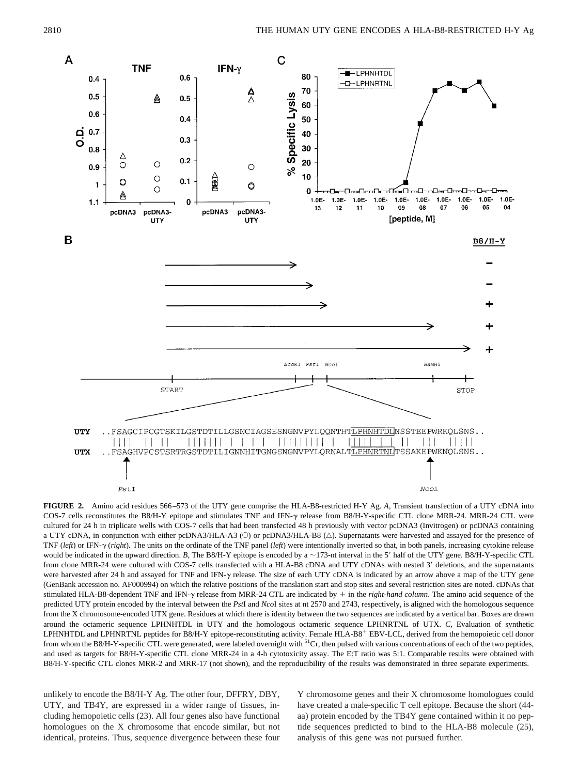

**FIGURE 2.** Amino acid residues 566–573 of the UTY gene comprise the HLA-B8-restricted H-Y Ag. *A*, Transient transfection of a UTY cDNA into COS-7 cells reconstitutes the B8/H-Y epitope and stimulates TNF and IFN- $\gamma$  release from B8/H-Y-specific CTL clone MRR-24. MRR-24 CTL were cultured for 24 h in triplicate wells with COS-7 cells that had been transfected 48 h previously with vector pcDNA3 (Invitrogen) or pcDNA3 containing a UTY cDNA, in conjunction with either pcDNA3/HLA-A3 ( $\circ$ ) or pcDNA3/HLA-B8 ( $\triangle$ ). Supernatants were harvested and assayed for the presence of TNF (*left*) or IFN- $\gamma$  (*right*). The units on the ordinate of the TNF panel (*left*) were intentionally inverted so that, in both panels, increasing cytokine release would be indicated in the upward direction. *B*, The B8/H-Y epitope is encoded by a  $\sim$ 173-nt interval in the 5' half of the UTY gene. B8/H-Y-specific CTL from clone MRR-24 were cultured with COS-7 cells transfected with a HLA-B8 cDNA and UTY cDNAs with nested 3' deletions, and the supernatants were harvested after 24 h and assayed for TNF and IFN-y release. The size of each UTY cDNA is indicated by an arrow above a map of the UTY gene (GenBank accession no. AF000994) on which the relative positions of the translation start and stop sites and several restriction sites are noted. cDNAs that stimulated HLA-B8-dependent TNF and IFN-y release from MRR-24 CTL are indicated by  $+$  in the *right-hand column*. The amino acid sequence of the predicted UTY protein encoded by the interval between the *Pst*I and *Nco*I sites at nt 2570 and 2743, respectively, is aligned with the homologous sequence from the X chromosome-encoded UTX gene. Residues at which there is identity between the two sequences are indicated by a vertical bar. Boxes are drawn around the octameric sequence LPHNHTDL in UTY and the homologous octameric sequence LPHNRTNL of UTX. *C*, Evaluation of synthetic LPHNHTDL and LPHNRTNL peptides for B8/H-Y epitope-reconstituting activity. Female HLA-B8<sup>+</sup> EBV-LCL, derived from the hemopoietic cell donor from whom the B8/H-Y-specific CTL were generated, were labeled overnight with <sup>51</sup>Cr, then pulsed with various concentrations of each of the two peptides, and used as targets for B8/H-Y-specific CTL clone MRR-24 in a 4-h cytotoxicity assay. The E:T ratio was 5:1. Comparable results were obtained with B8/H-Y-specific CTL clones MRR-2 and MRR-17 (not shown), and the reproducibility of the results was demonstrated in three separate experiments.

unlikely to encode the B8/H-Y Ag. The other four, DFFRY, DBY, UTY, and TB4Y, are expressed in a wider range of tissues, including hemopoietic cells (23). All four genes also have functional homologues on the X chromosome that encode similar, but not identical, proteins. Thus, sequence divergence between these four Y chromosome genes and their X chromosome homologues could have created a male-specific T cell epitope. Because the short (44 aa) protein encoded by the TB4Y gene contained within it no peptide sequences predicted to bind to the HLA-B8 molecule (25), analysis of this gene was not pursued further.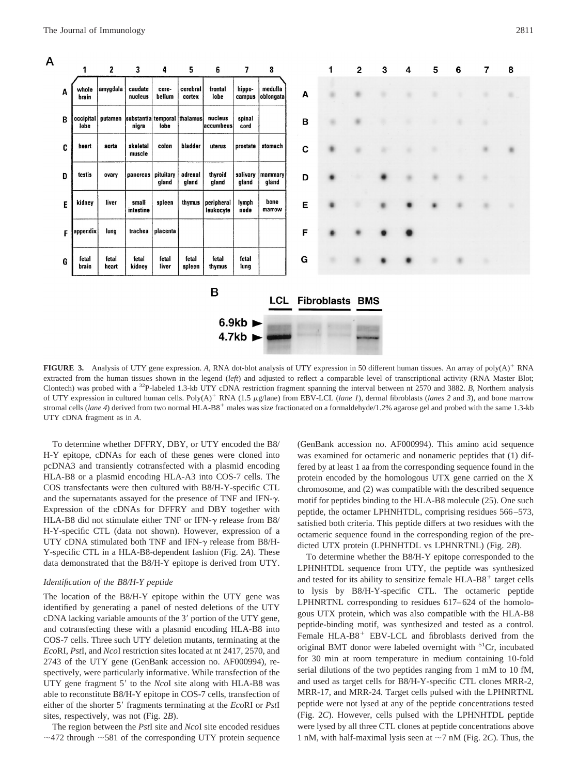

**FIGURE 3.** Analysis of UTY gene expression. A, RNA dot-blot analysis of UTY expression in 50 different human tissues. An array of poly(A)<sup>+</sup> RNA extracted from the human tissues shown in the legend (left) and adjusted to reflect a comparable level of transcriptional activity (RNA Master Blot; Clontech) was probed with a 32P-labeled 1.3-kb UTY cDNA restriction fragment spanning the interval between nt 2570 and 3882. *B*, Northern analysis of UTY expression in cultured human cells. Poly(A)<sup>+</sup> RNA (1.5 µg/lane) from EBV-LCL (*lane 1*), dermal fibroblasts (*lanes 2* and 3), and bone marrow stromal cells (*lane 4*) derived from two normal HLA-B8<sup>+</sup> males was size fractionated on a formaldehyde/1.2% agarose gel and probed with the same 1.3-kb UTY cDNA fragment as in *A*.

To determine whether DFFRY, DBY, or UTY encoded the B8/ H-Y epitope, cDNAs for each of these genes were cloned into pcDNA3 and transiently cotransfected with a plasmid encoding HLA-B8 or a plasmid encoding HLA-A3 into COS-7 cells. The COS transfectants were then cultured with B8/H-Y-specific CTL and the supernatants assayed for the presence of TNF and IFN- $\gamma$ . Expression of the cDNAs for DFFRY and DBY together with HLA-B8 did not stimulate either TNF or IFN- $\gamma$  release from B8/ H-Y-specific CTL (data not shown). However, expression of a UTY cDNA stimulated both TNF and IFN- $\gamma$  release from B8/H-Y-specific CTL in a HLA-B8-dependent fashion (Fig. 2*A*). These data demonstrated that the B8/H-Y epitope is derived from UTY.

# *Identification of the B8/H-Y peptide*

The location of the B8/H-Y epitope within the UTY gene was identified by generating a panel of nested deletions of the UTY  $cDNA$  lacking variable amounts of the  $3'$  portion of the UTY gene, and cotransfecting these with a plasmid encoding HLA-B8 into COS-7 cells. Three such UTY deletion mutants, terminating at the *Eco*RI, *Pst*I, and *Nco*I restriction sites located at nt 2417, 2570, and 2743 of the UTY gene (GenBank accession no. AF000994), respectively, were particularly informative. While transfection of the UTY gene fragment 5' to the *NcoI* site along with HLA-B8 was able to reconstitute B8/H-Y epitope in COS-7 cells, transfection of either of the shorter 5' fragments terminating at the *Eco*RI or *PstI* sites, respectively, was not (Fig. 2*B*).

The region between the *Pst*I site and *Nco*I site encoded residues  $\sim$ 472 through  $\sim$ 581 of the corresponding UTY protein sequence (GenBank accession no. AF000994). This amino acid sequence was examined for octameric and nonameric peptides that (1) differed by at least 1 aa from the corresponding sequence found in the protein encoded by the homologous UTX gene carried on the X chromosome, and (2) was compatible with the described sequence motif for peptides binding to the HLA-B8 molecule (25). One such peptide, the octamer LPHNHTDL, comprising residues 566–573, satisfied both criteria. This peptide differs at two residues with the octameric sequence found in the corresponding region of the predicted UTX protein (LPHNHTDL vs LPHNRTNL) (Fig. 2*B*).

To determine whether the B8/H-Y epitope corresponded to the LPHNHTDL sequence from UTY, the peptide was synthesized and tested for its ability to sensitize female  $HLA-B8<sup>+</sup>$  target cells to lysis by B8/H-Y-specific CTL. The octameric peptide LPHNRTNL corresponding to residues 617–624 of the homologous UTX protein, which was also compatible with the HLA-B8 peptide-binding motif, was synthesized and tested as a control. Female HLA-B8<sup>+</sup> EBV-LCL and fibroblasts derived from the original BMT donor were labeled overnight with  ${}^{51}Cr$ , incubated for 30 min at room temperature in medium containing 10-fold serial dilutions of the two peptides ranging from 1 mM to 10 fM, and used as target cells for B8/H-Y-specific CTL clones MRR-2, MRR-17, and MRR-24. Target cells pulsed with the LPHNRTNL peptide were not lysed at any of the peptide concentrations tested (Fig. 2*C*). However, cells pulsed with the LPHNHTDL peptide were lysed by all three CTL clones at peptide concentrations above 1 nM, with half-maximal lysis seen at  $\sim$ 7 nM (Fig. 2*C*). Thus, the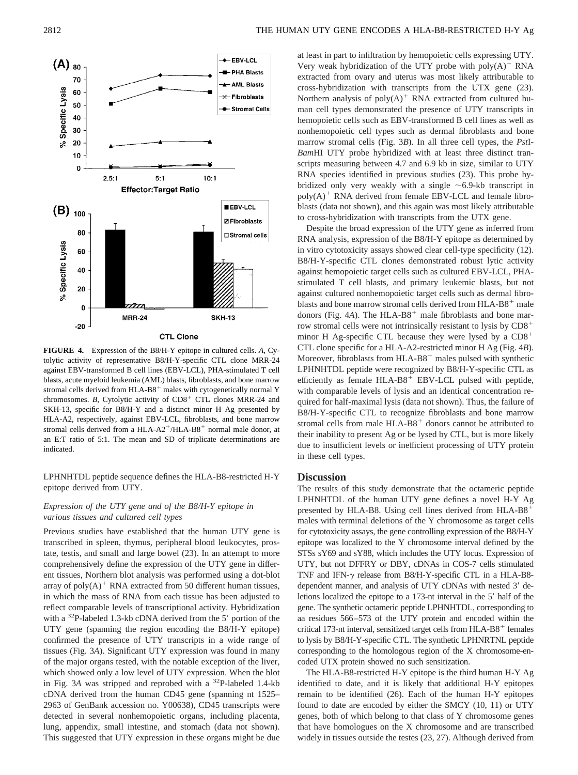

**FIGURE 4.** Expression of the B8/H-Y epitope in cultured cells. *A*, Cytolytic activity of representative B8/H-Y-specific CTL clone MRR-24 against EBV-transformed B cell lines (EBV-LCL), PHA-stimulated T cell blasts, acute myeloid leukemia (AML) blasts, fibroblasts, and bone marrow stromal cells derived from HLA-B8<sup>+</sup> males with cytogenetically normal Y chromosomes. *B*, Cytolytic activity of  $CD8<sup>+</sup>$  CTL clones MRR-24 and SKH-13, specific for B8/H-Y and a distinct minor H Ag presented by HLA-A2, respectively, against EBV-LCL, fibroblasts, and bone marrow stromal cells derived from a HLA- $A2^+/HLA-B8^+$  normal male donor, at an E:T ratio of 5:1. The mean and SD of triplicate determinations are indicated.

LPHNHTDL peptide sequence defines the HLA-B8-restricted H-Y epitope derived from UTY.

# *Expression of the UTY gene and of the B8/H-Y epitope in various tissues and cultured cell types*

Previous studies have established that the human UTY gene is transcribed in spleen, thymus, peripheral blood leukocytes, prostate, testis, and small and large bowel (23). In an attempt to more comprehensively define the expression of the UTY gene in different tissues, Northern blot analysis was performed using a dot-blot array of  $poly(A)^+$  RNA extracted from 50 different human tissues, in which the mass of RNA from each tissue has been adjusted to reflect comparable levels of transcriptional activity. Hybridization with a  $^{32}P$ -labeled 1.3-kb cDNA derived from the 5' portion of the UTY gene (spanning the region encoding the B8/H-Y epitope) confirmed the presence of UTY transcripts in a wide range of tissues (Fig. 3*A*). Significant UTY expression was found in many of the major organs tested, with the notable exception of the liver, which showed only a low level of UTY expression. When the blot in Fig. 3*A* was stripped and reprobed with a 32P-labeled 1.4-kb cDNA derived from the human CD45 gene (spanning nt 1525– 2963 of GenBank accession no. Y00638), CD45 transcripts were detected in several nonhemopoietic organs, including placenta, lung, appendix, small intestine, and stomach (data not shown). This suggested that UTY expression in these organs might be due at least in part to infiltration by hemopoietic cells expressing UTY. Very weak hybridization of the UTY probe with  $poly(A)^+$  RNA extracted from ovary and uterus was most likely attributable to cross-hybridization with transcripts from the UTX gene (23). Northern analysis of  $poly(A)^+$  RNA extracted from cultured human cell types demonstrated the presence of UTY transcripts in hemopoietic cells such as EBV-transformed B cell lines as well as nonhemopoietic cell types such as dermal fibroblasts and bone marrow stromal cells (Fig. 3*B*). In all three cell types, the *Pst*I-*Bam*HI UTY probe hybridized with at least three distinct transcripts measuring between 4.7 and 6.9 kb in size, similar to UTY RNA species identified in previous studies (23). This probe hybridized only very weakly with a single  $\sim 6.9$ -kb transcript in  $poly(A)^+$  RNA derived from female EBV-LCL and female fibroblasts (data not shown), and this again was most likely attributable to cross-hybridization with transcripts from the UTX gene.

Despite the broad expression of the UTY gene as inferred from RNA analysis, expression of the B8/H-Y epitope as determined by in vitro cytotoxicity assays showed clear cell-type specificity (12). B8/H-Y-specific CTL clones demonstrated robust lytic activity against hemopoietic target cells such as cultured EBV-LCL, PHAstimulated T cell blasts, and primary leukemic blasts, but not against cultured nonhemopoietic target cells such as dermal fibroblasts and bone marrow stromal cells derived from HLA-B8 $^+$  male donors (Fig. 4A). The HLA-B8<sup>+</sup> male fibroblasts and bone marrow stromal cells were not intrinsically resistant to lysis by  $CD8<sup>+</sup>$ minor H Ag-specific CTL because they were lysed by a  $CD8<sup>+</sup>$ CTL clone specific for a HLA-A2-restricted minor H Ag (Fig. 4*B*). Moreover, fibroblasts from  $HLA-B8$ <sup>+</sup> males pulsed with synthetic LPHNHTDL peptide were recognized by B8/H-Y-specific CTL as efficiently as female  $HLA-B8$ <sup>+</sup> EBV-LCL pulsed with peptide, with comparable levels of lysis and an identical concentration required for half-maximal lysis (data not shown). Thus, the failure of B8/H-Y-specific CTL to recognize fibroblasts and bone marrow stromal cells from male  $HLA-B8$ <sup>+</sup> donors cannot be attributed to their inability to present Ag or be lysed by CTL, but is more likely due to insufficient levels or inefficient processing of UTY protein in these cell types.

# **Discussion**

The results of this study demonstrate that the octameric peptide LPHNHTDL of the human UTY gene defines a novel H-Y Ag presented by HLA-B8. Using cell lines derived from  $HLA-B8$ <sup>+</sup> males with terminal deletions of the Y chromosome as target cells for cytotoxicity assays, the gene controlling expression of the B8/H-Y epitope was localized to the Y chromosome interval defined by the STSs sY69 and sY88, which includes the UTY locus. Expression of UTY, but not DFFRY or DBY, cDNAs in COS-7 cells stimulated TNF and IFN- $\gamma$  release from B8/H-Y-specific CTL in a HLA-B8dependent manner, and analysis of UTY cDNAs with nested 3' deletions localized the epitope to a 173-nt interval in the 5' half of the gene. The synthetic octameric peptide LPHNHTDL, corresponding to aa residues 566–573 of the UTY protein and encoded within the critical 173-nt interval, sensitized target cells from HLA-B8 $^+$  females to lysis by B8/H-Y-specific CTL. The synthetic LPHNRTNL peptide corresponding to the homologous region of the X chromosome-encoded UTX protein showed no such sensitization.

The HLA-B8-restricted H-Y epitope is the third human H-Y Ag identified to date, and it is likely that additional H-Y epitopes remain to be identified (26). Each of the human H-Y epitopes found to date are encoded by either the SMCY (10, 11) or UTY genes, both of which belong to that class of Y chromosome genes that have homologues on the X chromosome and are transcribed widely in tissues outside the testes (23, 27). Although derived from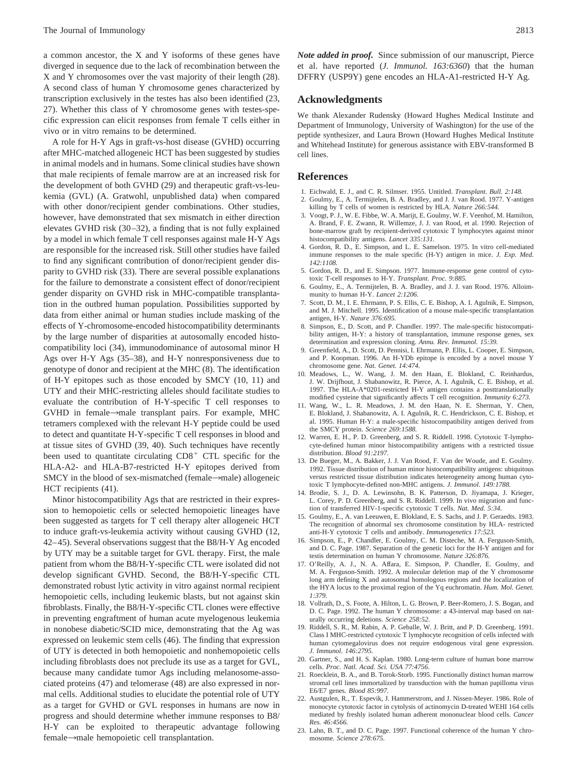a common ancestor, the X and Y isoforms of these genes have diverged in sequence due to the lack of recombination between the X and Y chromosomes over the vast majority of their length (28). A second class of human Y chromosome genes characterized by transcription exclusively in the testes has also been identified (23, 27). Whether this class of Y chromosome genes with testes-specific expression can elicit responses from female T cells either in vivo or in vitro remains to be determined.

A role for H-Y Ags in graft-vs-host disease (GVHD) occurring after MHC-matched allogeneic HCT has been suggested by studies in animal models and in humans. Some clinical studies have shown that male recipients of female marrow are at an increased risk for the development of both GVHD (29) and therapeutic graft-vs-leukemia (GVL) (A. Gratwohl, unpublished data) when compared with other donor/recipient gender combinations. Other studies, however, have demonstrated that sex mismatch in either direction elevates GVHD risk (30–32), a finding that is not fully explained by a model in which female T cell responses against male H-Y Ags are responsible for the increased risk. Still other studies have failed to find any significant contribution of donor/recipient gender disparity to GVHD risk (33). There are several possible explanations for the failure to demonstrate a consistent effect of donor/recipient gender disparity on GVHD risk in MHC-compatible transplantation in the outbred human population. Possibilities supported by data from either animal or human studies include masking of the effects of Y-chromosome-encoded histocompatibility determinants by the large number of disparities at autosomally encoded histocompatibility loci (34), immunodominance of autosomal minor H Ags over H-Y Ags (35–38), and H-Y nonresponsiveness due to genotype of donor and recipient at the MHC (8). The identification of H-Y epitopes such as those encoded by SMCY (10, 11) and UTY and their MHC-restricting alleles should facilitate studies to evaluate the contribution of H-Y-specific T cell responses to  $GVHD$  in female $\rightarrow$ male transplant pairs. For example, MHC tetramers complexed with the relevant H-Y peptide could be used to detect and quantitate H-Y-specific T cell responses in blood and at tissue sites of GVHD (39, 40). Such techniques have recently been used to quantitate circulating  $CDS<sup>+</sup> CTL$  specific for the HLA-A2- and HLA-B7-restricted H-Y epitopes derived from SMCY in the blood of sex-mismatched (female $\rightarrow$ male) allogeneic HCT recipients (41).

Minor histocompatibility Ags that are restricted in their expression to hemopoietic cells or selected hemopoietic lineages have been suggested as targets for T cell therapy alter allogeneic HCT to induce graft-vs-leukemia activity without causing GVHD (12, 42–45). Several observations suggest that the B8/H-Y Ag encoded by UTY may be a suitable target for GVL therapy. First, the male patient from whom the B8/H-Y-specific CTL were isolated did not develop significant GVHD. Second, the B8/H-Y-specific CTL demonstrated robust lytic activity in vitro against normal recipient hemopoietic cells, including leukemic blasts, but not against skin fibroblasts. Finally, the B8/H-Y-specific CTL clones were effective in preventing engraftment of human acute myelogenous leukemia in nonobese diabetic/SCID mice, demonstrating that the Ag was expressed on leukemic stem cells (46). The finding that expression of UTY is detected in both hemopoietic and nonhemopoietic cells including fibroblasts does not preclude its use as a target for GVL, because many candidate tumor Ags including melanosome-associated proteins (47) and telomerase (48) are also expressed in normal cells. Additional studies to elucidate the potential role of UTY as a target for GVHD or GVL responses in humans are now in progress and should determine whether immune responses to B8/ H-Y can be exploited to therapeutic advantage following  $female \rightarrow male~hemopoietic~cell~transplantation.$ 

*Note added in proof.* Since submission of our manuscript, Pierce et al. have reported (*J. Immunol. 163:6360*) that the human DFFRY (USP9Y) gene encodes an HLA-A1-restricted H-Y Ag.

# **Acknowledgments**

We thank Alexander Rudensky (Howard Hughes Medical Institute and Department of Immunology, University of Washington) for the use of the peptide synthesizer, and Laura Brown (Howard Hughes Medical Institute and Whitehead Institute) for generous assistance with EBV-transformed B cell lines.

### **References**

- 1. Eichwald, E. J., and C. R. Silmser. 1955. Untitled. *Transplant. Bull. 2:148.*
- 2. Goulmy, E., A. Termijtelen, B. A. Bradley, and J. J. van Rood. 1977. Y-antigen killing by T cells of women is restricted by HLA. *Nature 266:544.*
- 3. Voogt, P. J., W. E. Fibbe, W. A. Marijt, E. Goulmy, W. F. Veenhof, M. Hamilton, A. Brand, F. E. Zwann, R. Willemze, J. J. van Rood, et al. 1990. Rejection of bone-marrow graft by recipient-derived cytotoxic T lymphocytes against minor histocompatibility antigens. *Lancet 335:131.*
- 4. Gordon, R. D., E. Simpson, and L. E. Samelson. 1975. In vitro cell-mediated immune responses to the male specific (H-Y) antigen in mice. *J. Exp. Med. 142:1108.*
- 5. Gordon, R. D., and E. Simpson. 1977. Immune-response gene control of cytotoxic T-cell responses to H-Y. *Transplant. Proc. 9:885.*
- 6. Goulmy, E., A. Termijtelen, B. A. Bradley, and J. J. van Rood. 1976. Alloimmunity to human H-Y. *Lancet 2:1206.*
- 7. Scott, D. M., I. E. Ehrmann, P. S. Ellis, C. E. Bishop, A. I. Agulnik, E. Simpson, and M. J. Mitchell. 1995. Identification of a mouse male-specific transplantation antigen, H-Y. *Nature 376:695.*
- 8. Simpson, E., D. Scott, and P. Chandler. 1997. The male-specific histocompatibility antigen, H-Y: a history of transplantation, immune response genes, sex determination and expression cloning. *Annu. Rev. Immunol. 15:39.*
- 9. Greenfield, A., D. Scott, D. Pennisi, I. Ehrmann, P. Ellis, L. Cooper, E. Simpson, and P. Koopman. 1996. An H-YDb epitope is encoded by a novel mouse Y chromosome gene. *Nat. Genet. 14:474.*
- 10. Meadows, L., W. Wang, J. M. den Haan, E. Blokland, C. Reinhardus, J. W. Drijfhout, J. Shabanowitz, R. Pierce, A. I. Agulnik, C. E. Bishop, et al. 1997. The HLA-A\*0201-restricted H-Y antigen contains a posttranslationally modified cysteine that significantly affects T cell recognition. *Immunity 6:273.*
- 11. Wang, W., L. R. Meadows, J. M. den Haan, N. E. Sherman, Y. Chen, E. Blokland, J. Shabanowitz, A. I. Agulnik, R. C. Hendrickson, C. E. Bishop, et al. 1995. Human H-Y: a male-specific histocompatibility antigen derived from the SMCY protein. *Science 269:1588.*
- 12. Warren, E. H., P. D. Greenberg, and S. R. Riddell. 1998. Cytotoxic T-lymphocyte-defined human minor histocompatibility antigens with a restricted tissue distribution. *Blood 91:2197.*
- 13. De Bueger, M., A. Bakker, J. J. Van Rood, F. Van der Woude, and E. Goulmy. 1992. Tissue distribution of human minor histocompatibility antigens: ubiquitous versus restricted tissue distribution indicates heterogeneity among human cytotoxic T lymphocyte-defined non-MHC antigens. *J. Immunol. 149:1788.*
- 14. Brodie, S. J., D. A. Lewinsohn, B. K. Patterson, D. Jiyamapa, J. Krieger, L. Corey, P. D. Greenberg, and S. R. Riddell. 1999. In vivo migration and function of transferred HIV-1-specific cytotoxic T cells. *Nat. Med. 5:34.*
- 15. Goulmy, E., A. van Leeuwen, E. Blokland, E. S. Sachs, and J. P. Geraedts. 1983. The recognition of abnormal sex chromosome constitution by HLA- restricted anti-H-Y cytotoxic T cells and antibody. *Immunogenetics 17:523.*
- 16. Simpson, E., P. Chandler, E. Goulmy, C. M. Disteche, M. A. Ferguson-Smith, and D. C. Page. 1987. Separation of the genetic loci for the H-Y antigen and for testis determination on human Y chromosome. *Nature 326:876.*
- 17. O'Reilly, A. J., N. A. Affara, E. Simpson, P. Chandler, E. Goulmy, and M. A. Ferguson-Smith. 1992. A molecular deletion map of the Y chromosome long arm defining X and autosomal homologous regions and the localization of the HYA locus to the proximal region of the Yq euchromatin. *Hum. Mol. Genet. 1:379.*
- 18. Vollrath, D., S. Foote, A. Hilton, L. G. Brown, P. Beer-Romero, J. S. Bogan, and D. C. Page. 1992. The human Y chromosome: a 43-interval map based on naturally occurring deletions. *Science 258:52.*
- 19. Riddell, S. R., M. Rabin, A. P. Geballe, W. J. Britt, and P. D. Greenberg. 1991. Class I MHC-restricted cytotoxic T lymphocyte recognition of cells infected with human cytomegalovirus does not require endogenous viral gene expression. *J. Immunol. 146:2795.*
- 20. Gartner, S., and H. S. Kaplan. 1980. Long-term culture of human bone marrow cells. *Proc. Natl. Acad. Sci. USA 77:4756.*
- 21. Roecklein, B. A., and B. Torok-Storb. 1995. Functionally distinct human marrow stromal cell lines immortalized by transduction with the human papilloma virus E6/E7 genes. *Blood 85:997.*
- 22. Austgulen, R., T. Espevik, J. Hammerstrom, and J. Nissen-Meyer. 1986. Role of monocyte cytotoxic factor in cytolysis of actinomycin D-treated WEHI 164 cells mediated by freshly isolated human adherent mononuclear blood cells. *Cancer Res. 46:4566.*
- 23. Lahn, B. T., and D. C. Page. 1997. Functional coherence of the human Y chromosome. *Science 278:675.*